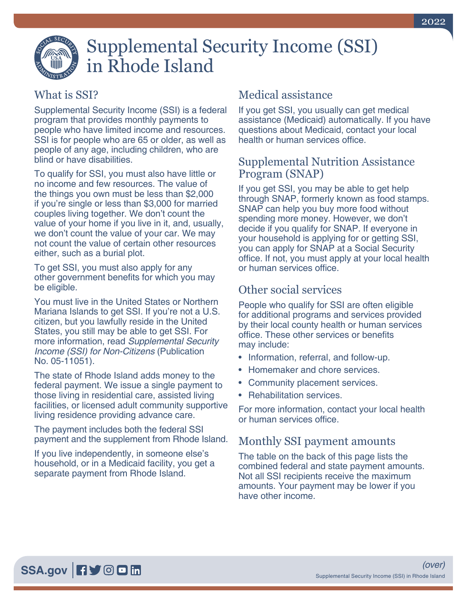

# Supplemental Security Income (SSI) in Rhode Island

## What is SSI?

Supplemental Security Income (SSI) is a federal program that provides monthly payments to people who have limited income and resources. SSI is for people who are 65 or older, as well as people of any age, including children, who are blind or have disabilities.

To qualify for SSI, you must also have little or no income and few resources. The value of the things you own must be less than \$2,000 if you're single or less than \$3,000 for married couples living together. We don't count the value of your home if you live in it, and, usually, we don't count the value of your car. We may not count the value of certain other resources either, such as a burial plot.

To get SSI, you must also apply for any other government benefits for which you may be eligible.

You must live in the United States or Northern Mariana Islands to get SSI. If you're not a U.S. citizen, but you lawfully reside in the United States, you still may be able to get SSI. For more information, read *[Supplemental Security](https://www.ssa.gov/pubs/EN-05-11051.pdf)  [Income \(SSI\) for Non-Citizens](https://www.ssa.gov/pubs/EN-05-11051.pdf)* (Publication [No. 05-11051\).](https://www.ssa.gov/pubs/EN-05-11051.pdf)

The state of Rhode Island adds money to the federal payment. We issue a single payment to those living in residential care, assisted living facilities, or licensed adult community supportive living residence providing advance care.

The payment includes both the federal SSI payment and the supplement from Rhode Island.

If you live independently, in someone else's household, or in a Medicaid facility, you get a separate payment from Rhode Island.

## Medical assistance

If you get SSI, you usually can get medical assistance (Medicaid) automatically. If you have questions about Medicaid, contact your local health or human services office.

#### Supplemental Nutrition Assistance Program (SNAP)

If you get SSI, you may be able to get help through SNAP, formerly known as food stamps. SNAP can help you buy more food without spending more money. However, we don't decide if you qualify for SNAP. If everyone in your household is applying for or getting SSI, you can apply for SNAP at a Social Security office. If not, you must apply at your local health or human services office.

## Other social services

People who qualify for SSI are often eligible for additional programs and services provided by their local county health or human services office. These other services or benefits may include:

- Information, referral, and follow-up.
- Homemaker and chore services.
- Community placement services.
- Rehabilitation services.

For more information, contact your local health or human services office.

### Monthly SSI payment amounts

The table on the back of this page lists the combined federal and state payment amounts. Not all SSI recipients receive the maximum amounts. Your payment may be lower if you have other income.